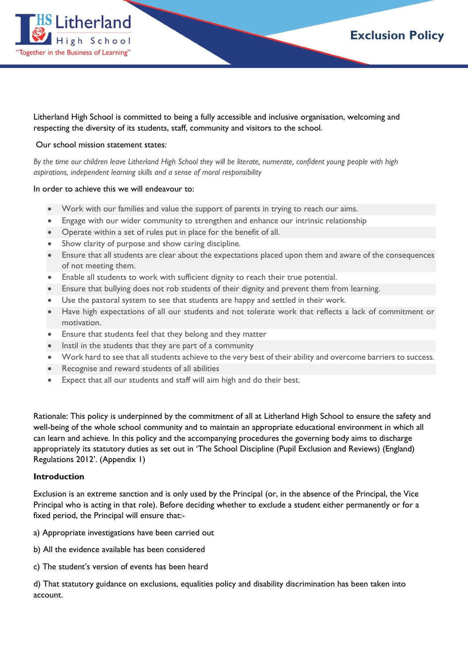

Litherland High School is committed to being a fully accessible and inclusive organisation, welcoming and respecting the diversity of its students, staff, community and visitors to the school.

### Our school mission statement states:

By the time our children leave Litherland High School they will be literate, numerate, confident young people with high *aspirations, independent learning skills and a sense of moral responsibility*

#### In order to achieve this we will endeavour to:

- Work with our families and value the support of parents in trying to reach our aims.
- Engage with our wider community to strengthen and enhance our intrinsic relationship
- Operate within a set of rules put in place for the benefit of all.
- Show clarity of purpose and show caring discipline.
- Ensure that all students are clear about the expectations placed upon them and aware of the consequences of not meeting them.
- Enable all students to work with sufficient dignity to reach their true potential.
- Ensure that bullying does not rob students of their dignity and prevent them from learning.
- Use the pastoral system to see that students are happy and settled in their work.
- Have high expectations of all our students and not tolerate work that reflects a lack of commitment or motivation.
- Ensure that students feel that they belong and they matter
- Instil in the students that they are part of a community
- Work hard to see that all students achieve to the very best of their ability and overcome barriers to success.
- Recognise and reward students of all abilities
- Expect that all our students and staff will aim high and do their best.

Rationale: This policy is underpinned by the commitment of all at Litherland High School to ensure the safety and well-being of the whole school community and to maintain an appropriate educational environment in which all can learn and achieve. In this policy and the accompanying procedures the governing body aims to discharge appropriately its statutory duties as set out in 'The School Discipline (Pupil Exclusion and Reviews) (England) Regulations 2012'. (Appendix 1)

#### **Introduction**

Exclusion is an extreme sanction and is only used by the Principal (or, in the absence of the Principal, the Vice Principal who is acting in that role). Before deciding whether to exclude a student either permanently or for a fixed period, the Principal will ensure that:-

a) Appropriate investigations have been carried out

- b) All the evidence available has been considered
- c) The student's version of events has been heard

d) That statutory guidance on exclusions, equalities policy and disability discrimination has been taken into account.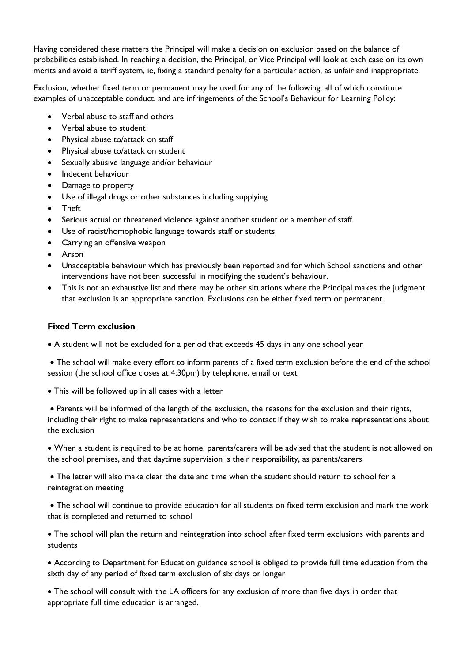Having considered these matters the Principal will make a decision on exclusion based on the balance of probabilities established. In reaching a decision, the Principal, or Vice Principal will look at each case on its own merits and avoid a tariff system, ie, fixing a standard penalty for a particular action, as unfair and inappropriate.

Exclusion, whether fixed term or permanent may be used for any of the following, all of which constitute examples of unacceptable conduct, and are infringements of the School's Behaviour for Learning Policy:

- Verbal abuse to staff and others
- Verbal abuse to student
- Physical abuse to/attack on staff
- Physical abuse to/attack on student
- Sexually abusive language and/or behaviour
- Indecent behaviour
- Damage to property
- Use of illegal drugs or other substances including supplying
- Theft
- Serious actual or threatened violence against another student or a member of staff.
- Use of racist/homophobic language towards staff or students
- Carrying an offensive weapon
- Arson
- Unacceptable behaviour which has previously been reported and for which School sanctions and other interventions have not been successful in modifying the student's behaviour.
- This is not an exhaustive list and there may be other situations where the Principal makes the judgment that exclusion is an appropriate sanction. Exclusions can be either fixed term or permanent.

## **Fixed Term exclusion**

A student will not be excluded for a period that exceeds 45 days in any one school year

 The school will make every effort to inform parents of a fixed term exclusion before the end of the school session (the school office closes at 4:30pm) by telephone, email or text

This will be followed up in all cases with a letter

 Parents will be informed of the length of the exclusion, the reasons for the exclusion and their rights, including their right to make representations and who to contact if they wish to make representations about the exclusion

 When a student is required to be at home, parents/carers will be advised that the student is not allowed on the school premises, and that daytime supervision is their responsibility, as parents/carers

 The letter will also make clear the date and time when the student should return to school for a reintegration meeting

 The school will continue to provide education for all students on fixed term exclusion and mark the work that is completed and returned to school

 The school will plan the return and reintegration into school after fixed term exclusions with parents and students

 According to Department for Education guidance school is obliged to provide full time education from the sixth day of any period of fixed term exclusion of six days or longer

 The school will consult with the LA officers for any exclusion of more than five days in order that appropriate full time education is arranged.